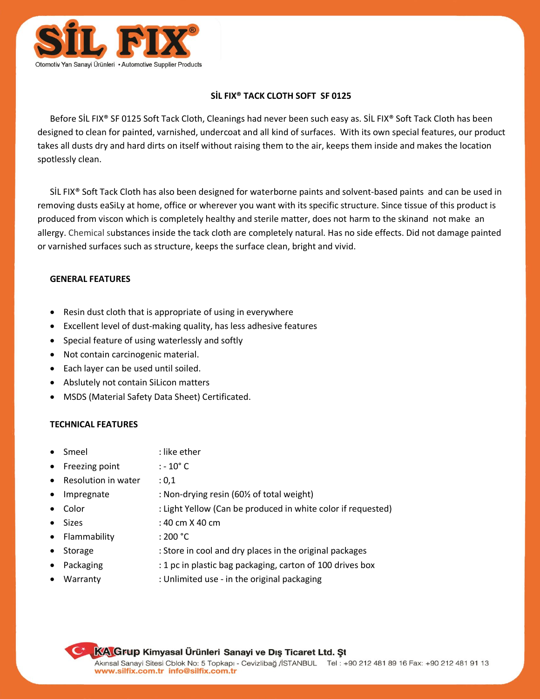

## **SİL FIX® TACK CLOTH SOFT SF 0125**

Before SİL FIX® SF 0125 Soft Tack Cloth, Cleanings had never been such easy as. SİL FIX® Soft Tack Cloth has been designed to clean for painted, varnished, undercoat and all kind of surfaces. With its own special features, our product takes all dusts dry and hard dirts on itself without raising them to the air, keeps them inside and makes the location spotlessly clean.

SİL FIX® Soft Tack Cloth has also been designed for waterborne paints and solvent-based paints and can be used in removing dusts eaSiLy at home, office or wherever you want with its specific structure. Since tissue of this product is produced from viscon which is completely healthy and sterile matter, does not harm to the skinand not make an allergy. Chemical substances inside the tack cloth are completely natural. Has no side effects. Did not damage painted or varnished surfaces such as structure, keeps the surface clean, bright and vivid.

## **GENERAL FEATURES**

- Resin dust cloth that is appropriate of using in everywhere
- Excellent level of dust-making quality, has less adhesive features
- Special feature of using waterlessly and softly
- Not contain carcinogenic material.
- Each layer can be used until soiled.
- Abslutely not contain SiLicon matters
- MSDS (Material Safety Data Sheet) Certificated.

## **TECHNICAL FEATURES**

- Smeel : like ether
- Freezing point  $: -10^{\circ}$  C
- Resolution in water : 0,1
- 
- 
- Impregnate : Non-drying resin (60<sup>1</sup>% of total weight)
- Color : Light Yellow (Can be produced in white color if requested)
- $\bullet$  Sizes : 40 cm X 40 cm
	-
- Flammability : 200 °C
- Storage : Store in cool and dry places in the original packages
- 
- Packaging : 1 pc in plastic bag packaging, carton of 100 drives box
	- Warranty : Unlimited use in the original packaging

**KA Grup Kimyasal Ürünleri Sanayi ve Dış Ticaret Ltd. St**